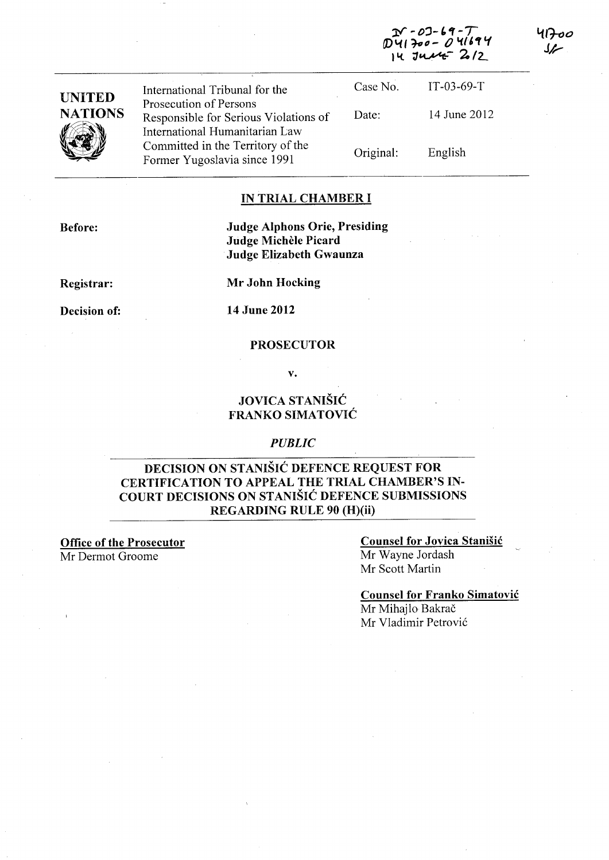|                                 | International Tribunal for the                                                                      | Case No.  | $IT-03-69-T$ |
|---------------------------------|-----------------------------------------------------------------------------------------------------|-----------|--------------|
| <b>UNITED</b><br><b>NATIONS</b> | Prosecution of Persons<br>Responsible for Serious Violations of                                     | Date:     | 14 June 2012 |
|                                 | International Humanitarian Law<br>Committed in the Territory of the<br>Former Yugoslavia since 1991 | Original: | English      |

#### IN TRIAL CHAMBER I

Before:

### Judge Alphons Orie, Presiding Judge Michele Picard Judge Elizabeth Gwaunza

Registrar:

Mr John Hocking

Decision of: 14 June 2012

#### PROSECUTOR

v.

# JOVICA STANISIC FRANKO SIMATOVIC

### *PUBLIC*

## DECISION ON STANISIC DEFENCE REQUEST FOR CERTIFICATION TO APPEAL THE TRIAL CHAMBER'S IN-COURT DECISIONS ON STANISIC DEFENCE SUBMISSIONS REGARDING RULE 90 (H)(ii)

Office of the Prosecutor Mr Dermot Groome

## Counsel for Jovica Stanisic Mr Wayne Jordash Mr Scott Martin

 $07 - 69 41300 - 041694$ 

 $14 \text{ J}$ 

Counsel for Franko Simatovic Mr Mihajlo Bakrač Mr Vladimir Petrovic

سرک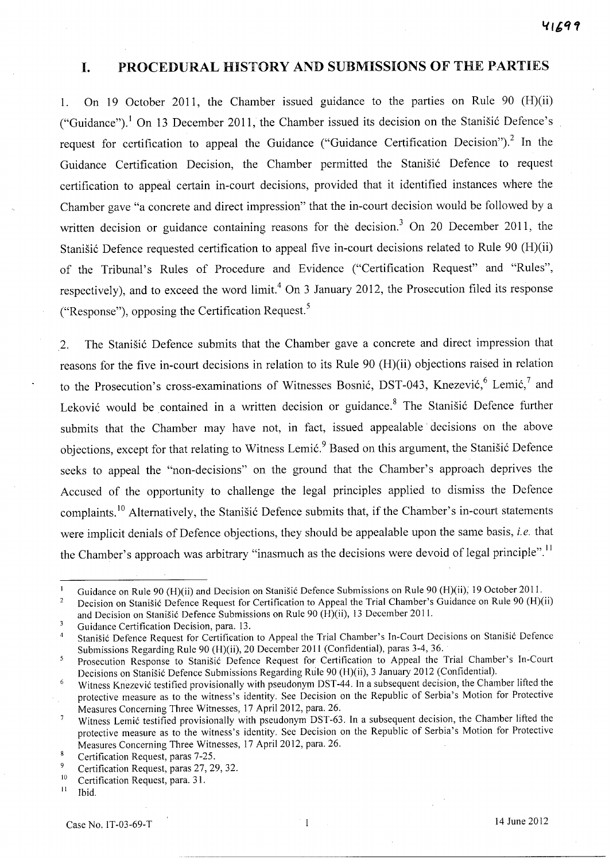## **I.** PROCEDURAL HISTORY AND SUBMISSIONS OF THE PARTIES

1. On 19 October 2011, the Chamber issued guidance to the parties on Rule 90 (H)(ii) ("Guidance").<sup>1</sup> On 13 December 2011, the Chamber issued its decision on the Stanisic Defence's request for certification to appeal the Guidance ("Guidance Certification Decision").<sup>2</sup> In the Guidance Certification Decision, the Chamber permitted the Stanisic Defence to request certification to appeal certain in-court decisions, provided that it identified instances where the Chamber gave "a concrete and direct impression" that the in-court decision would be followed by a written decision or guidance containing reasons for the decision.<sup>3</sup> On 20 December 2011, the Stanisic Defence requested certification to appeal five in-court decisions related to Rule 90 (H)(ii) of the Tribunal's Rules of Procedure and Evidence ("Certification Request" and "Rules", respectively), and to exceed the word limit.<sup>4</sup> On 3 January 2012, the Prosecution filed its response ("Response"), opposing the Certification Request.<sup>5</sup>

2. The Stanisic Defence submits that the Chamber gave a concrete and direct impression that reasons for the five in-court decisions in relation to its Rule 90 (H)(ii) objections raised in relation to the Prosecution's cross-examinations of Witnesses Bosnić, DST-043, Knezević,<sup>6</sup> Lemić,<sup>7</sup> and Leković would be contained in a written decision or guidance.<sup>8</sup> The Stanišić Defence further submits that the Chamber may have not, in fact, issued appealable· decisions on the above objections, except for that relating to Witness Lemić.<sup>9</sup> Based on this argument, the Stanišić Defence seeks to appeal the "non-decisions" on the ground that the Chamber's approach deprives the Accused of the opportunity to challenge the legal principles applied to dismiss the Defence complaints.<sup>10</sup> Alternatively, the Stanišić Defence submits that, if the Chamber's in-court statements were implicit denials of Defence objections, they should be appealable upon the same basis, *i.e.* that the Chamber's approach was arbitrary "inasmuch as the decisions were devoid of legal principle".<sup>11</sup>

Guidance on Rule 90 (H)(ii) and Decision on Stanišić Defence Submissions on Rule 90 (H)(ii), 19 October 2011.  $\mathbf{I}$ 

 $\overline{2}$ Decision on Stanišić Defence Request for Certification to Appeal the Trial Chamber's Guidance on Rule 90 (H)(ii) and Decision on Stanišić Defence Submissions on Rule 90 (H)(ii), 13 December 2011.

 $\overline{3}$ Guidance Certification Decision, para. 13.

Stanišić Defence Request for Certification to Appeal the Trial Chamber's In-Court Decisions on Stanišić Defence  $\overline{4}$ Submissions Regarding Rule 90 (H)(ii), 20 December 2011 (Confidential), paras 3-4, 36.

Prosecution Response to Stanišić Defence Request for Certification to Appeal the Trial Chamber's In-Court  $\overline{\mathbf{5}}$ Decisions on Stanišić Defence Submissions Regarding Rule 90 (H)(ii), 3 January 2012 (Confidential).

<sup>6</sup> Witness Knezević testified provisionally with pseudonym DST-44. In a subsequent decision, the Chamber lifted the protective measure as to the witness's identity. See Decision on the Republic of Serbia's Motion for Protective Measures Concerning Three Witnesses, 17 April 2012, para. 26.

Witness Lemic testified provisionally with pseudonym DST-63. In a subsequent decision, the Chamber lifted the  $\overline{7}$ protective measure as to the witness's identity. See Decision on the Republic of Serbia's Motion for Protective Measures Concerning Three Witnesses, 17 April 2012, para. 26.

 $\bf{8}$ Certification Request, paras 7-25.

<sup>&</sup>lt;sup>9</sup> Certification Request, paras 27, 29, 32.<br> $\frac{10}{2}$  Certification Request para 31

<sup>&</sup>lt;sup>10</sup> Certification Request, para. 31.<br><sup>11</sup> Ibid

Ibid.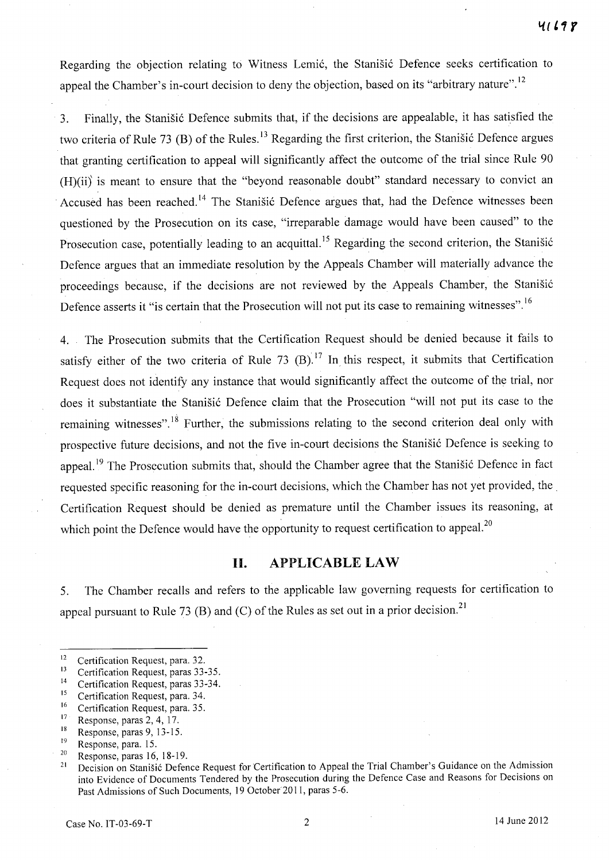Regarding the objection relating to Witness Lemić, the Stanišić Defence seeks certification to appeal the Chamber's in-court decision to deny the objection, based on its "arbitrary nature".<sup>12</sup>

3. Finally, the Stanišić Defence submits that, if the decisions are appealable, it has satisfied the two criteria of Rule 73 (B) of the Rules.<sup>13</sup> Regarding the first criterion, the Stanistic Defence argues that granting certification to appeal will significantly affect the outcome of the trial since Rule 90 (H)(ii)' is meant to ensure that the "beyond reasonable doubt" standard necessary to convict an Accused has been reached.<sup>14</sup> The Stanišić Defence argues that, had the Defence witnesses been questioned by the Prosecution on its case, "irreparable damage would have been caused" to the Prosecution case, potentially leading to an acquittal.<sup>15</sup> Regarding the second criterion, the Stanišić Defence argues that an immediate resolution by the Appeals Chamber will materially advance the proceedings because, if the decisions are not reviewed by the Appeals Chamber, the Stanišić Defence asserts it "is certain that the Prosecution will not put its case to remaining witnesses".<sup>16</sup>

4. The Prosecution submits that the Certification Request should be denied because it fails to satisfy either of the two criteria of Rule 73  $(B)$ .<sup>17</sup> In this respect, it submits that Certification Request does not identify any instance that would significantly affect the outcome of the trial, nor does it substantiate the Stanišić Defence claim that the Prosecution "will not put its case to the remaining witnesses".<sup>18</sup> Further, the submissions relating to the second criterion deal only with prospective future decisions, and not the five in-court decisions the Stanisic Defence is seeking to appeal.<sup>19</sup> The Prosecution submits that, should the Chamber agree that the Stanisic Defence in fact requested specific reasoning for the in-court decisions, which the Chamber has not yet provided, the. Certification Request should be denied as premature until the Chamber issues its reasoning, at which point the Defence would have the opportunity to request certification to appeal.<sup>20</sup>

## **H. APPLICABLE LAW**

5. The Chamber recalls and refers to the applicable law governing requests for certification to appeal pursuant to Rule 73 (B) and (C) of the Rules as set out in a prior decision.<sup>21</sup>

<sup>18</sup> Response, paras 9, 13-15.

<sup>&</sup>lt;sup>12</sup> Certification Request, para. 32.<br> $\frac{13}{2}$  Certification Request, paras. 33.

<sup>&</sup>lt;sup>13</sup> Certification Request, paras 33-35.

<sup>&</sup>lt;sup>14</sup> Certification Request, paras 33-34.

<sup>&</sup>lt;sup>15</sup> Certification Request, para. 34.<br> $\frac{16}{16}$  Certification Request para. 35.

 $^{16}$  Certification Request, para. 35.

 $17$  Response, paras 2, 4, 17.

Response, para. 15.

<sup>&</sup>lt;sup>20</sup> Response, paras 16, 18-19.<br><sup>21</sup> Decision on Stanišić Defer

Decision on Stanišić Defence Request for Certification to Appeal the Trial Chamber's Guidance on the Admission into Evidence of Documents Tendered by the Prosecution during the Defence Case and Reasons for Decisions on Past Admissions of Such Documents, 19 October 201 I, paras 5-6.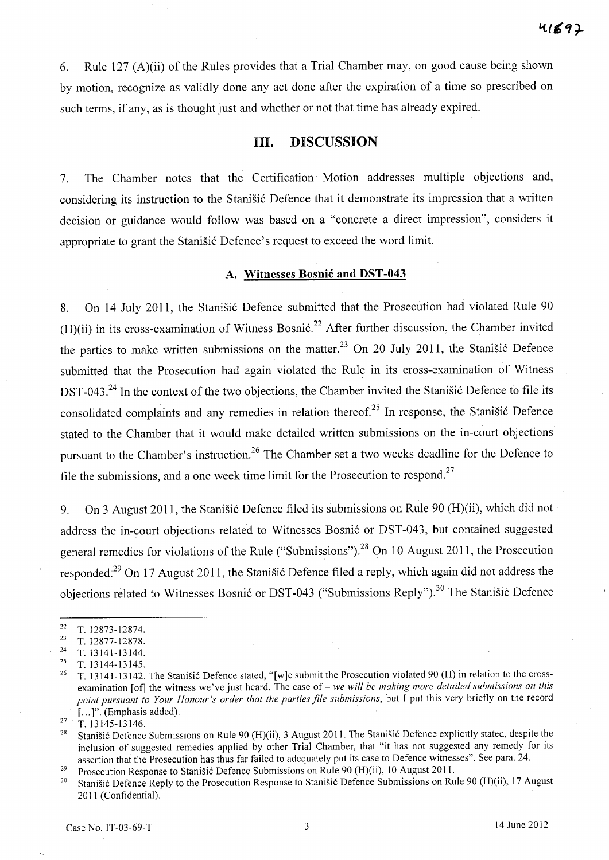6. Rule 127 (A)(ii) of the Rules provides that a Trial Chamber may, on good cause being shown by motion, recognize as validly done any act done after the expiration of a time so prescribed on such terms, if any, as is thought just and whether or not that time has already expired.

## HI. DISCUSSION

7. The Chamber notes that the Certification Motion addresses multiple objections and, considering its instruction to the Stanisic Defence that it demonstrate its impression that a written decision or guidance would follow was based on a "concrete a direct impression", considers it appropriate to grant the Stanisić Defence's request to exceed the word limit.

### A. Witnesses Bosnic and DST -043

8. On 14 July 2011, the Stanišić Defence submitted that the Prosecution had violated Rule 90 (H)(ii) in its cross-examination of Witness Bosnić.<sup>22</sup> After further discussion, the Chamber invited the parties to make written submissions on the matter.<sup>23</sup> On 20 July 2011, the Stanistic Defence submitted that the Prosecution had again violated the Rule in its cross-examination of Witness DST-043.<sup>24</sup> In the context of the two objections, the Chamber invited the Stanisic Defence to file its consolidated complaints and any remedies in relation thereof.<sup>25</sup> In response, the Stanišić Defence stated to the Chamber that it would make detailed written submissions on the in-court objections' pursuant to the Chamber's instruction.<sup>26</sup> The Chamber set a two weeks deadline for the Defence to file the submissions, and a one week time limit for the Prosecution to respond.<sup>27</sup>

9. On 3 August 2011, the Stanišić Defence filed its submissions on Rule 90 (H)(ii), which did not address the in-court objections related to Witnesses Bosnić or DST-043, but contained suggested general remedies for violations of the Rule ("Submissions").<sup>28</sup> On 10 August 2011, the Prosecution responded;<sup>29</sup> On 17 August 2011, the Stanisic Defence filed a reply, which again did not address the objections related to Witnesses Bosnić or DST-043 ("Submissions Reply").<sup>30</sup> The Stanišić Defence

 $\frac{22}{23}$  T. 12873-12874.

 $\frac{23}{24}$  T. 12877-12878.

<sup>24</sup> T.13141-13144.

<sup>25</sup> T. 13144-13145.

<sup>&</sup>lt;sup>26</sup> T. 13141-13142. The Stanišić Defence stated, "[w]e submit the Prosecution violated 90 (H) in relation to the crossexamination [of] the witness we've just heard. The case of - *we will be making more detailed submissions on this point pursuant to Your Honour's order that the parties file submissions,* but I put this very briefly on the record [...]". (Emphasis added).

 $^{27}$  T. 13145-13146.

Stanišić Defence Submissions on Rule 90 (H)(ii), 3 August 2011. The Stanišić Defence explicitly stated, despite the inclusion of suggested remedies applied by other Trial Chamber, that "it has not suggested any remedy for its assertion that the Prosecution has thus far failed to adequately put its case to Defence witnesses". See para. 24.

<sup>&</sup>lt;sup>29</sup> Prosecution Response to Stanišić Defence Submissions on Rule 90 (H)(ii), 10 August 2011.<br><sup>30</sup> Stanišić Defence Reply to the Prosecution Response to Stanišić Defence Submissions on Ru

Stanišić Defence Reply to the Prosecution Response to Stanišić Defence Submissions on Rule 90 (H)(ii), 17 August 2011 (Confidential).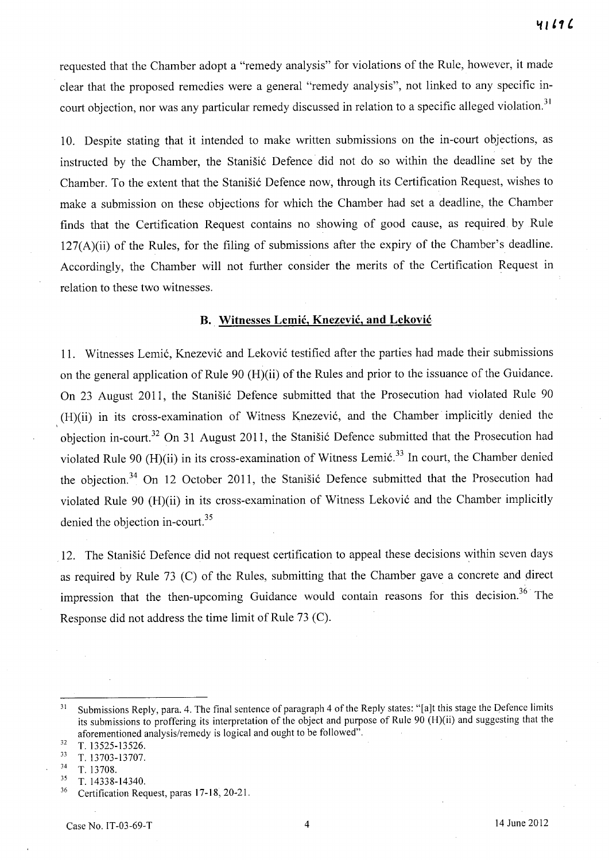requested that the Chamber adopt a "remedy analysis" for violations of the Rule, however, it made clear that the proposed remedies were a general "remedy analysis", not linked to any specific incourt objection, nor was any particular remedy discussed in relation to a specific alleged violation.<sup>31</sup>

10. Despite stating that it intended to make written submissions on the in-court objections, as instructed by the Chamber, the Stanisić Defence did not do so within the deadline set by the Chamber. To the extent that the Stanišić Defence now, through its Certification Request, wishes to make a submission on these objections for which the Chamber had set a deadline, the Chamber finds that the Certification Request contains no showing of good cause, as required by Rule 127(A)(ii) of the Rules, for the filing of submissions after the expiry of the Chamber's deadline. Accordingly, the Chamber will not further consider the merits of the Certification Request in relation to these two witnesses.

### **B. Witnesses Lemic, Knezevic, and Lekovic**

11. Witnesses Lemić, Knezević and Leković testified after the parties had made their submissions on the general application of Rule 90 (H)(ii) of the Rules and prior to the issuance of the Guidance. On 23 August 2011, the Stanišić Defence submitted that the Prosecution had violated Rule 90 (H)(ii) in its cross-examination of Witness Knezevi6, and the Chamber· implicitly denied the objection in-court.<sup>32</sup> On 31 August 2011, the Stanišić Defence submitted that the Prosecution had violated Rule 90 (H)(ii) in its cross-examination of Witness Lemić.<sup>33</sup> In court, the Chamber denied the objection.<sup>34</sup> On 12 October 2011, the Stanistic Defence submitted that the Prosecution had violated Rule 90 (H)(ii) in its cross-examination of Witness Leković and the Chamber implicitly denied the objection in-court. $35$ 

12. The Stanisić Defence did not request certification to appeal these decisions within seven days as required by Rule 73 (C) of the Rules, submitting that the Chamber gave a concrete and direct impression that the then-upcoming Guidance would contain reasons for this decision.<sup>36</sup> The Response did not address the time limit of Rule 73 (C).

 $\frac{32}{33}$  T. 13525-13526.

<sup>&</sup>lt;sup>31</sup> Submissions Reply, para. 4. The final sentence of paragraph 4 of the Reply states: "[a]t this stage the Defence limits its submissions to proffering its interpretation of the object and purpose of Rule 90 (H)(ii) and suggesting that the aforementioned analysis/remedy is logical and ought to be followed".

 $\frac{33}{34}$  T. 13703-13707.

 $\frac{34}{35}$  T. 13708.

<sup>35</sup> T.14338-14340.

<sup>&</sup>lt;sup>36</sup> Certification Request, paras 17-18, 20-21.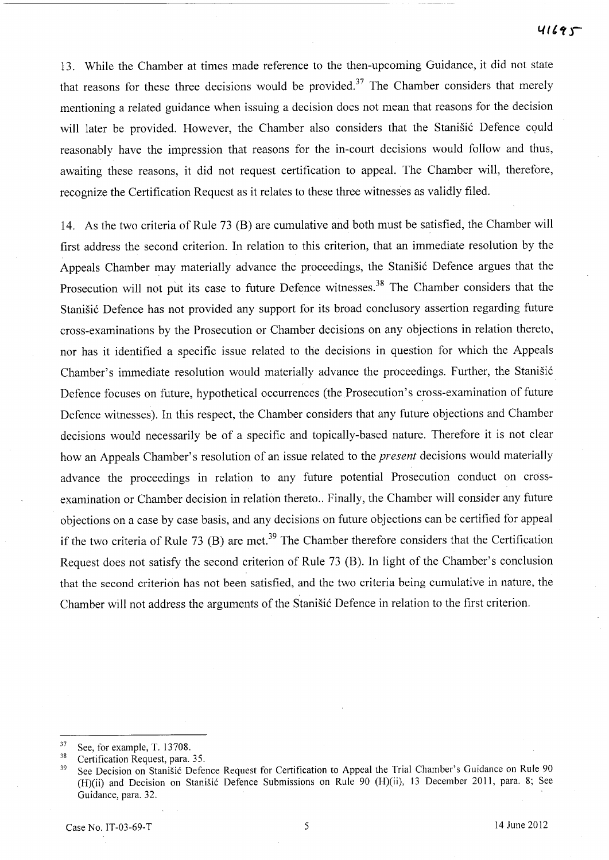13. While the Chamber at times made reference to the then-upcoming Guidance, it did not state that reasons for these three decisions would be provided.<sup>37</sup> The Chamber considers that merely mentioning a related guidance when issuing a decision does not mean that reasons for the decision will later be provided. However, the Chamber also considers that the Stanišić Defence could reasonably have the impression that reasons for the in-court decisions would follow and thus, awaiting these reasons, it did not request certification to appeal. The Chamber will, therefore, recognize the Certification Request as it relates to these three witnesses as validly filed.

14. As the two criteria of Rule 73 (B) are cumulative and both must be satisfied, the Chamber will first address the second criterion. **In** relation to this criterion, that an immediate resolution by the Appeals Chamber may materially advance the proceedings, the Stanišić Defence argues that the Prosecution will not put its case to future Defence witnesses.<sup>38</sup> The Chamber considers that the Stanišić Defence has not provided any support for its broad conclusory assertion regarding future cross-examinations by the Prosecution or Chamber decisions on any objections in relation thereto, nor has it identified a specific issue related to the decisions in question for which the Appeals Chamber's immediate resolution would materially advance the proceedings. Further, the Stanišić Defence focuses on future, hypothetical occurrences (the Prosecution's cross-examination of future Defence witnesses). **In** this respect, the Chamber considers that any future objections and Chamber decisions would necessarily be of a specific and topically-based nature. Therefore it is not clear how an Appeals Chamber's resolution of an issue related to the *present* decisions would materially advance the proceedings in relation to any future potential Prosecution conduct on crossexamination or Chamber decision in relation thereto.. Finally, the Chamber will consider any future objections on a case by case basis, and any decisions on future objections can be certified for appeal if the two criteria of Rule 73 (B) are met.<sup>39</sup> The Chamber therefore considers that the Certification Request does not satisfy the second criterion of Rule 73 (B). **In** light of the Chamber's conclusion that the second criterion has not been satisfied, and the two criteria being cumulative in nature, the Chamber will not address the arguments of the Stanišić Defence in relation to the first criterion.

<sup>37</sup> See, for example, T. 13708.

 $38$  Certification Request, para. 35.<br> $39$  See Decision on Stanišić Defet

See Decision on Stanišić Defence Request for Certification to Appeal the Trial Chamber's Guidance on Rule 90 (H)(ii) and Decision on Stanišić Defence Submissions on Rule 90 (H)(ii), 13 December 2011, para. 8; See Guidance, para. 32.